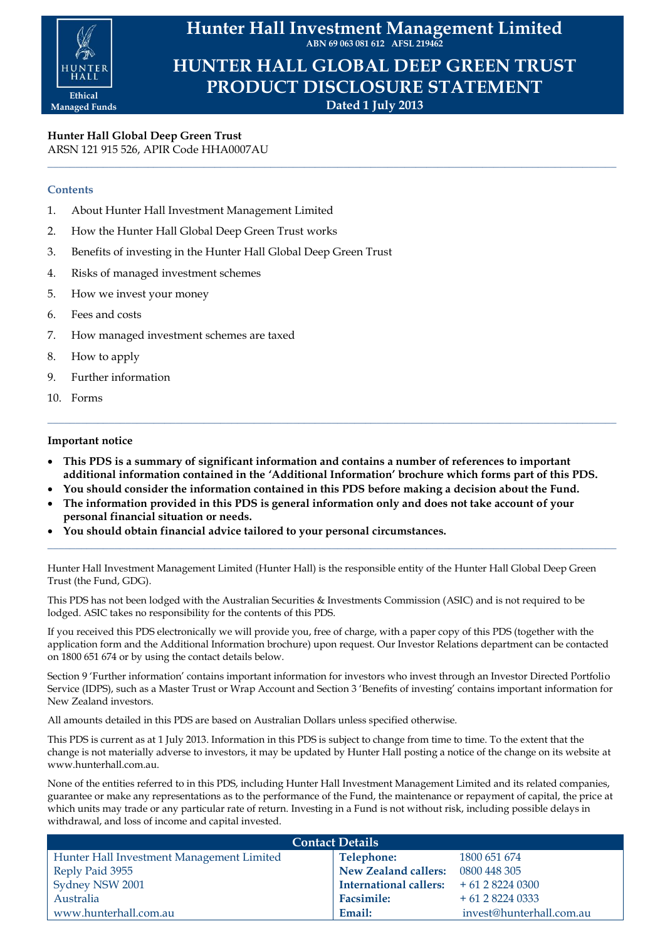

**Hunter Hall Investment Management Limited ABN 69 063 081 612 AFSL 219462**

**HUNTER HALL GLOBAL DEEP GREEN TRUST PRODUCT DISCLOSURE STATEMENT Dated 1 July 2013**

**\_\_\_\_\_\_\_\_\_\_\_\_\_\_\_\_\_\_\_\_\_\_\_\_\_\_\_\_\_\_\_\_\_\_\_\_\_\_\_\_\_\_\_\_\_\_\_\_\_\_\_\_\_\_\_\_\_\_\_\_\_\_\_\_\_\_\_\_\_\_\_\_\_\_\_\_\_\_\_\_\_\_\_\_\_\_\_\_\_\_\_\_\_\_\_\_\_\_\_\_\_\_**

**Hunter Hall Global Deep Green Trust** ARSN 121 915 526, APIR Code HHA0007AU

# **Contents**

- 1. About Hunter Hall Investment Management Limited
- 2. How the Hunter Hall Global Deep Green Trust works
- 3. Benefits of investing in the Hunter Hall Global Deep Green Trust
- 4. Risks of managed investment schemes
- 5. How we invest your money
- 6. Fees and costs
- 7. How managed investment schemes are taxed
- 8. How to apply
- 9. Further information
- 10. Forms

# **Important notice**

 **This PDS is a summary of significant information and contains a number of references to important additional information contained in the 'Additional Information' brochure which forms part of this PDS.**

**\_\_\_\_\_\_\_\_\_\_\_\_\_\_\_\_\_\_\_\_\_\_\_\_\_\_\_\_\_\_\_\_\_\_\_\_\_\_\_\_\_\_\_\_\_\_\_\_\_\_\_\_\_\_\_\_\_\_\_\_\_\_\_\_\_\_\_\_\_\_\_\_\_\_\_\_\_\_\_\_\_\_\_\_\_\_\_\_\_\_\_\_\_\_\_\_\_\_\_\_\_\_**

- **You should consider the information contained in this PDS before making a decision about the Fund.**
- **The information provided in this PDS is general information only and does not take account of your personal financial situation or needs.**
- **You should obtain financial advice tailored to your personal circumstances.**

Hunter Hall Investment Management Limited (Hunter Hall) is the responsible entity of the Hunter Hall Global Deep Green Trust (the Fund, GDG).

**\_\_\_\_\_\_\_\_\_\_\_\_\_\_\_\_\_\_\_\_\_\_\_\_\_\_\_\_\_\_\_\_\_\_\_\_\_\_\_\_\_\_\_\_\_\_\_\_\_\_\_\_\_\_\_\_\_\_\_\_\_\_\_\_\_\_\_\_\_\_\_\_\_\_\_\_\_\_\_\_\_\_\_\_\_\_\_\_\_\_\_\_\_\_\_\_\_\_\_\_\_\_**

This PDS has not been lodged with the Australian Securities & Investments Commission (ASIC) and is not required to be lodged. ASIC takes no responsibility for the contents of this PDS.

If you received this PDS electronically we will provide you, free of charge, with a paper copy of this PDS (together with the application form and the Additional Information brochure) upon request. Our Investor Relations department can be contacted on 1800 651 674 or by using the contact details below.

Section 9 'Further information' contains important information for investors who invest through an Investor Directed Portfolio Service (IDPS), such as a Master Trust or Wrap Account and Section 3 'Benefits of investing' contains important information for New Zealand investors.

All amounts detailed in this PDS are based on Australian Dollars unless specified otherwise.

This PDS is current as at 1 July 2013. Information in this PDS is subject to change from time to time. To the extent that the change is not materially adverse to investors, it may be updated by Hunter Hall posting a notice of the change on its website at www.hunterhall.com.au.

None of the entities referred to in this PDS, including Hunter Hall Investment Management Limited and its related companies, guarantee or make any representations as to the performance of the Fund, the maintenance or repayment of capital, the price at which units may trade or any particular rate of return. Investing in a Fund is not without risk, including possible delays in withdrawal, and loss of income and capital invested.

| <b>Contact Details</b>                    |                                       |                          |  |
|-------------------------------------------|---------------------------------------|--------------------------|--|
| Hunter Hall Investment Management Limited | Telephone:                            | 1800 651 674             |  |
| Reply Paid 3955                           | New Zealand callers:                  | 0800 448 305             |  |
| Sydney NSW 2001                           | International callers: $+61282240300$ |                          |  |
| Australia                                 | <b>Facsimile:</b>                     | $+61282240333$           |  |
| www.hunterhall.com.au                     | Email:                                | invest@hunterhall.com.au |  |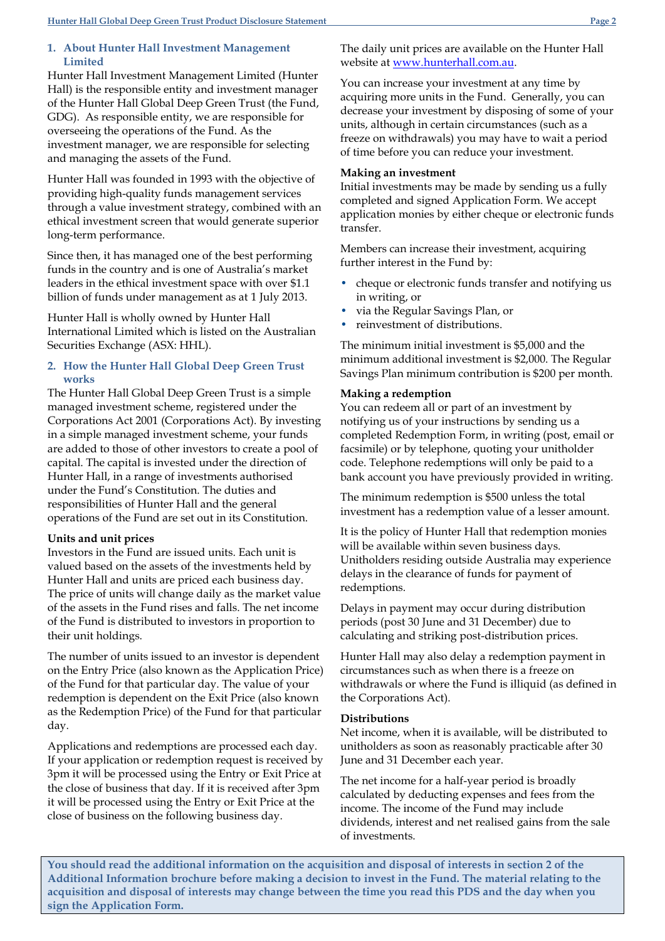## **1. About Hunter Hall Investment Management Limited**

Hunter Hall Investment Management Limited (Hunter Hall) is the responsible entity and investment manager of the Hunter Hall Global Deep Green Trust (the Fund, GDG). As responsible entity, we are responsible for overseeing the operations of the Fund. As the investment manager, we are responsible for selecting and managing the assets of the Fund.

Hunter Hall was founded in 1993 with the objective of providing high-quality funds management services through a value investment strategy, combined with an ethical investment screen that would generate superior long-term performance.

Since then, it has managed one of the best performing funds in the country and is one of Australia's market leaders in the ethical investment space with over \$1.1 billion of funds under management as at 1 July 2013.

Hunter Hall is wholly owned by Hunter Hall International Limited which is listed on the Australian Securities Exchange (ASX: HHL).

# **2. How the Hunter Hall Global Deep Green Trust works**

The Hunter Hall Global Deep Green Trust is a simple managed investment scheme, registered under the Corporations Act 2001 (Corporations Act). By investing in a simple managed investment scheme, your funds are added to those of other investors to create a pool of capital. The capital is invested under the direction of Hunter Hall, in a range of investments authorised under the Fund's Constitution. The duties and responsibilities of Hunter Hall and the general operations of the Fund are set out in its Constitution.

# **Units and unit prices**

Investors in the Fund are issued units. Each unit is valued based on the assets of the investments held by Hunter Hall and units are priced each business day. The price of units will change daily as the market value of the assets in the Fund rises and falls. The net income of the Fund is distributed to investors in proportion to their unit holdings.

The number of units issued to an investor is dependent on the Entry Price (also known as the Application Price) of the Fund for that particular day. The value of your redemption is dependent on the Exit Price (also known as the Redemption Price) of the Fund for that particular day.

Applications and redemptions are processed each day. If your application or redemption request is received by 3pm it will be processed using the Entry or Exit Price at the close of business that day. If it is received after 3pm it will be processed using the Entry or Exit Price at the close of business on the following business day.

The daily unit prices are available on the Hunter Hall website at [www.hunterhall.com.au.](http://www.hunterhall.com.au/)

You can increase your investment at any time by acquiring more units in the Fund. Generally, you can decrease your investment by disposing of some of your units, although in certain circumstances (such as a freeze on withdrawals) you may have to wait a period of time before you can reduce your investment.

## **Making an investment**

Initial investments may be made by sending us a fully completed and signed Application Form. We accept application monies by either cheque or electronic funds transfer.

Members can increase their investment, acquiring further interest in the Fund by:

- cheque or electronic funds transfer and notifying us in writing, or
- via the Regular Savings Plan, or
- reinvestment of distributions.

The minimum initial investment is \$5,000 and the minimum additional investment is \$2,000. The Regular Savings Plan minimum contribution is \$200 per month.

### **Making a redemption**

You can redeem all or part of an investment by notifying us of your instructions by sending us a completed Redemption Form, in writing (post, email or facsimile) or by telephone, quoting your unitholder code. Telephone redemptions will only be paid to a bank account you have previously provided in writing.

The minimum redemption is \$500 unless the total investment has a redemption value of a lesser amount.

It is the policy of Hunter Hall that redemption monies will be available within seven business days. Unitholders residing outside Australia may experience delays in the clearance of funds for payment of redemptions.

Delays in payment may occur during distribution periods (post 30 June and 31 December) due to calculating and striking post-distribution prices.

Hunter Hall may also delay a redemption payment in circumstances such as when there is a freeze on withdrawals or where the Fund is illiquid (as defined in the Corporations Act).

### **Distributions**

Net income, when it is available, will be distributed to unitholders as soon as reasonably practicable after 30 June and 31 December each year.

The net income for a half-year period is broadly calculated by deducting expenses and fees from the income. The income of the Fund may include dividends, interest and net realised gains from the sale of investments.

**You should read the additional information on the acquisition and disposal of interests in section 2 of the Additional Information brochure before making a decision to invest in the Fund. The material relating to the acquisition and disposal of interests may change between the time you read this PDS and the day when you sign the Application Form.**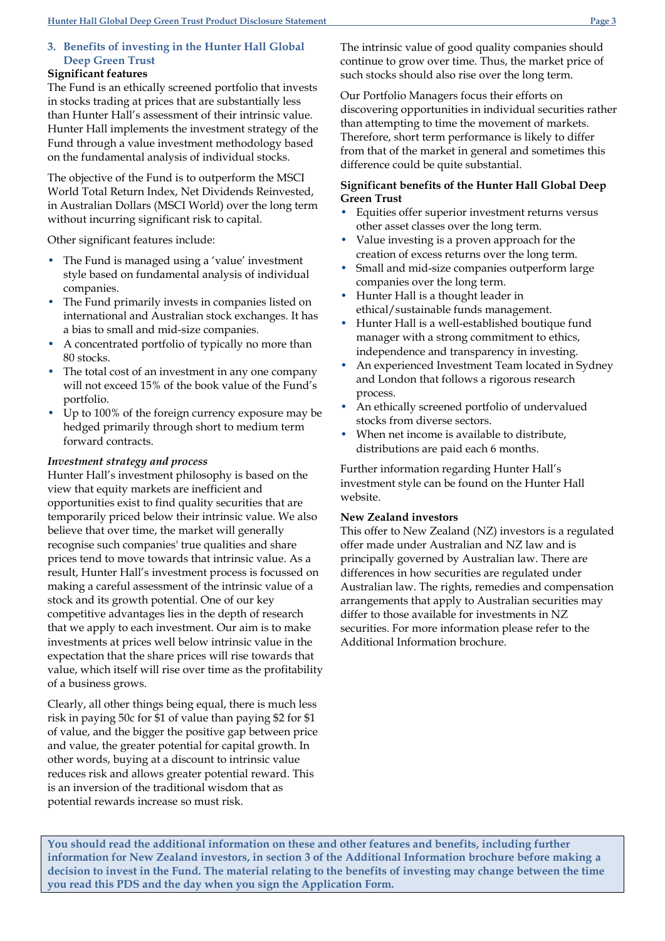# **3. Benefits of investing in the Hunter Hall Global Deep Green Trust**

# **Significant features**

The Fund is an ethically screened portfolio that invests in stocks trading at prices that are substantially less than Hunter Hall's assessment of their intrinsic value. Hunter Hall implements the investment strategy of the Fund through a value investment methodology based on the fundamental analysis of individual stocks.

The objective of the Fund is to outperform the MSCI World Total Return Index, Net Dividends Reinvested, in Australian Dollars (MSCI World) over the long term without incurring significant risk to capital.

Other significant features include:

- The Fund is managed using a 'value' investment style based on fundamental analysis of individual companies.
- The Fund primarily invests in companies listed on international and Australian stock exchanges. It has a bias to small and mid-size companies.
- A concentrated portfolio of typically no more than 80 stocks.
- The total cost of an investment in any one company will not exceed 15% of the book value of the Fund's portfolio.
- Up to 100% of the foreign currency exposure may be hedged primarily through short to medium term forward contracts.

# *Investment strategy and process*

Hunter Hall's investment philosophy is based on the view that equity markets are inefficient and opportunities exist to find quality securities that are temporarily priced below their intrinsic value. We also believe that over time, the market will generally recognise such companies' true qualities and share prices tend to move towards that intrinsic value. As a result, Hunter Hall's investment process is focussed on making a careful assessment of the intrinsic value of a stock and its growth potential. One of our key competitive advantages lies in the depth of research that we apply to each investment. Our aim is to make investments at prices well below intrinsic value in the expectation that the share prices will rise towards that value, which itself will rise over time as the profitability of a business grows.

Clearly, all other things being equal, there is much less risk in paying 50c for \$1 of value than paying \$2 for \$1 of value, and the bigger the positive gap between price and value, the greater potential for capital growth. In other words, buying at a discount to intrinsic value reduces risk and allows greater potential reward. This is an inversion of the traditional wisdom that as potential rewards increase so must risk.

The intrinsic value of good quality companies should continue to grow over time. Thus, the market price of such stocks should also rise over the long term.

Our Portfolio Managers focus their efforts on discovering opportunities in individual securities rather than attempting to time the movement of markets. Therefore, short term performance is likely to differ from that of the market in general and sometimes this difference could be quite substantial.

# **Significant benefits of the Hunter Hall Global Deep Green Trust**

- Equities offer superior investment returns versus other asset classes over the long term.
- Value investing is a proven approach for the creation of excess returns over the long term.
- Small and mid-size companies outperform large companies over the long term.
- Hunter Hall is a thought leader in ethical/sustainable funds management.
- Hunter Hall is a well-established boutique fund manager with a strong commitment to ethics, independence and transparency in investing.
- An experienced Investment Team located in Sydney and London that follows a rigorous research process.
- An ethically screened portfolio of undervalued stocks from diverse sectors.
- When net income is available to distribute, distributions are paid each 6 months.

Further information regarding Hunter Hall's investment style can be found on the Hunter Hall website.

## **New Zealand investors**

This offer to New Zealand (NZ) investors is a regulated offer made under Australian and NZ law and is principally governed by Australian law. There are differences in how securities are regulated under Australian law. The rights, remedies and compensation arrangements that apply to Australian securities may differ to those available for investments in NZ securities. For more information please refer to the Additional Information brochure.

**You should read the additional information on these and other features and benefits, including further information for New Zealand investors, in section 3 of the Additional Information brochure before making a decision to invest in the Fund. The material relating to the benefits of investing may change between the time you read this PDS and the day when you sign the Application Form.**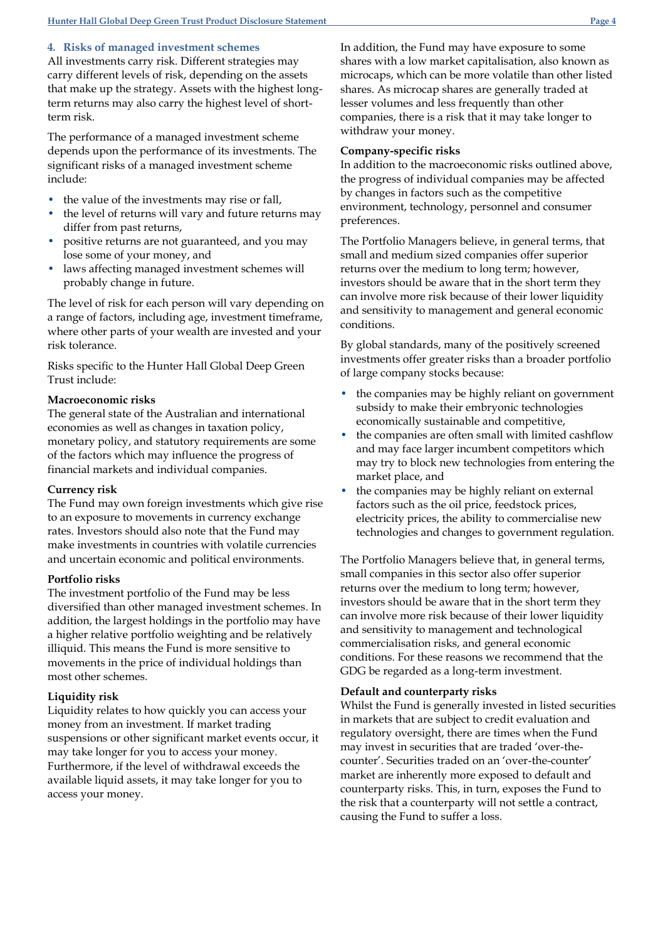## **4***.* **Risks of managed investment schemes**

All investments carry risk. Different strategies may carry different levels of risk, depending on the assets that make up the strategy. Assets with the highest longterm returns may also carry the highest level of shortterm risk.

The performance of a managed investment scheme depends upon the performance of its investments. The significant risks of a managed investment scheme include:

- the value of the investments may rise or fall,
- the level of returns will vary and future returns may differ from past returns,
- positive returns are not guaranteed, and you may lose some of your money, and
- laws affecting managed investment schemes will probably change in future.

The level of risk for each person will vary depending on a range of factors, including age, investment timeframe, where other parts of your wealth are invested and your risk tolerance.

Risks specific to the Hunter Hall Global Deep Green Trust include:

## **Macroeconomic risks**

The general state of the Australian and international economies as well as changes in taxation policy, monetary policy, and statutory requirements are some of the factors which may influence the progress of financial markets and individual companies.

### **Currency risk**

The Fund may own foreign investments which give rise to an exposure to movements in currency exchange rates. Investors should also note that the Fund may make investments in countries with volatile currencies and uncertain economic and political environments.

### **Portfolio risks**

The investment portfolio of the Fund may be less diversified than other managed investment schemes. In addition, the largest holdings in the portfolio may have a higher relative portfolio weighting and be relatively illiquid. This means the Fund is more sensitive to movements in the price of individual holdings than most other schemes.

## **Liquidity risk**

Liquidity relates to how quickly you can access your money from an investment. If market trading suspensions or other significant market events occur, it may take longer for you to access your money. Furthermore, if the level of withdrawal exceeds the available liquid assets, it may take longer for you to access your money.

In addition, the Fund may have exposure to some shares with a low market capitalisation, also known as microcaps, which can be more volatile than other listed shares. As microcap shares are generally traded at lesser volumes and less frequently than other companies, there is a risk that it may take longer to withdraw your money.

### **Company-specific risks**

In addition to the macroeconomic risks outlined above, the progress of individual companies may be affected by changes in factors such as the competitive environment, technology, personnel and consumer preferences.

The Portfolio Managers believe, in general terms, that small and medium sized companies offer superior returns over the medium to long term; however, investors should be aware that in the short term they can involve more risk because of their lower liquidity and sensitivity to management and general economic conditions.

By global standards, many of the positively screened investments offer greater risks than a broader portfolio of large company stocks because:

- the companies may be highly reliant on government subsidy to make their embryonic technologies economically sustainable and competitive,
- the companies are often small with limited cashflow and may face larger incumbent competitors which may try to block new technologies from entering the market place, and
- the companies may be highly reliant on external factors such as the oil price, feedstock prices, electricity prices, the ability to commercialise new technologies and changes to government regulation.

The Portfolio Managers believe that, in general terms, small companies in this sector also offer superior returns over the medium to long term; however, investors should be aware that in the short term they can involve more risk because of their lower liquidity and sensitivity to management and technological commercialisation risks, and general economic conditions. For these reasons we recommend that the GDG be regarded as a long-term investment.

### **Default and counterparty risks**

Whilst the Fund is generally invested in listed securities in markets that are subject to credit evaluation and regulatory oversight, there are times when the Fund may invest in securities that are traded 'over-thecounter'. Securities traded on an 'over-the-counter' market are inherently more exposed to default and counterparty risks. This, in turn, exposes the Fund to the risk that a counterparty will not settle a contract, causing the Fund to suffer a loss.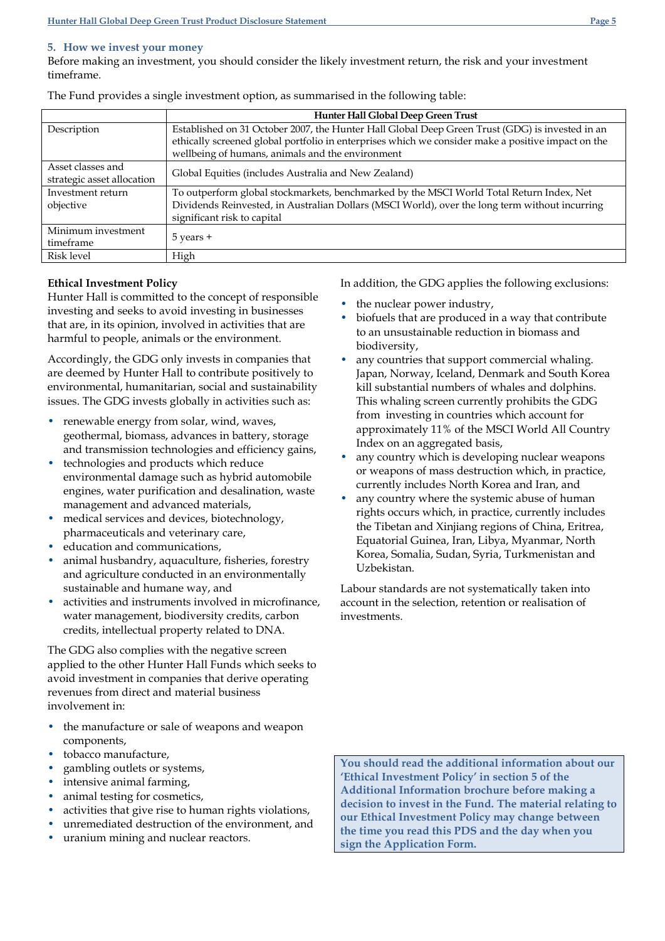## **5. How we invest your money**

Before making an investment, you should consider the likely investment return, the risk and your investment timeframe.

|                            | Hunter Hall Global Deep Green Trust                                                                |  |
|----------------------------|----------------------------------------------------------------------------------------------------|--|
| Description                | Established on 31 October 2007, the Hunter Hall Global Deep Green Trust (GDG) is invested in an    |  |
|                            | ethically screened global portfolio in enterprises which we consider make a positive impact on the |  |
|                            | wellbeing of humans, animals and the environment                                                   |  |
| Asset classes and          | Global Equities (includes Australia and New Zealand)                                               |  |
| strategic asset allocation |                                                                                                    |  |
| Investment return          | To outperform global stockmarkets, benchmarked by the MSCI World Total Return Index, Net           |  |
| objective                  | Dividends Reinvested, in Australian Dollars (MSCI World), over the long term without incurring     |  |
|                            | significant risk to capital                                                                        |  |
| Minimum investment         |                                                                                                    |  |
| timeframe                  | $5$ years $+$                                                                                      |  |
| Risk level                 | High                                                                                               |  |

# **Ethical Investment Policy**

Hunter Hall is committed to the concept of responsible investing and seeks to avoid investing in businesses that are, in its opinion, involved in activities that are harmful to people, animals or the environment.

Accordingly, the GDG only invests in companies that are deemed by Hunter Hall to contribute positively to environmental, humanitarian, social and sustainability issues. The GDG invests globally in activities such as:

- renewable energy from solar, wind, waves, geothermal, biomass, advances in battery, storage and transmission technologies and efficiency gains,
- technologies and products which reduce environmental damage such as hybrid automobile engines, water purification and desalination, waste management and advanced materials,
- medical services and devices, biotechnology, pharmaceuticals and veterinary care,
- education and communications,
- animal husbandry, aquaculture, fisheries, forestry and agriculture conducted in an environmentally sustainable and humane way, and
- activities and instruments involved in microfinance, water management, biodiversity credits, carbon credits, intellectual property related to DNA.

The GDG also complies with the negative screen applied to the other Hunter Hall Funds which seeks to avoid investment in companies that derive operating revenues from direct and material business involvement in:

- the manufacture or sale of weapons and weapon components,
- tobacco manufacture,
- gambling outlets or systems,
- intensive animal farming,
- animal testing for cosmetics,
- activities that give rise to human rights violations,
- unremediated destruction of the environment, and
- uranium mining and nuclear reactors.

**You should read the additional information about our 'Ethical Investment Policy' in section 5 of the Additional Information brochure before making a decision to invest in the Fund. The material relating to our Ethical Investment Policy may change between the time you read this PDS and the day when you sign the Application Form.**

In addition, the GDG applies the following exclusions:

- the nuclear power industry,
- biofuels that are produced in a way that contribute to an unsustainable reduction in biomass and biodiversity,
- any countries that support commercial whaling. Japan, Norway, Iceland, Denmark and South Korea kill substantial numbers of whales and dolphins. This whaling screen currently prohibits the GDG from investing in countries which account for approximately 11% of the MSCI World All Country Index on an aggregated basis,
- any country which is developing nuclear weapons or weapons of mass destruction which, in practice, currently includes North Korea and Iran, and
- any country where the systemic abuse of human rights occurs which, in practice, currently includes the Tibetan and Xinjiang regions of China, Eritrea, Equatorial Guinea, Iran, Libya, Myanmar, North Korea, Somalia, Sudan, Syria, Turkmenistan and Uzbekistan.

Labour standards are not systematically taken into account in the selection, retention or realisation of investments.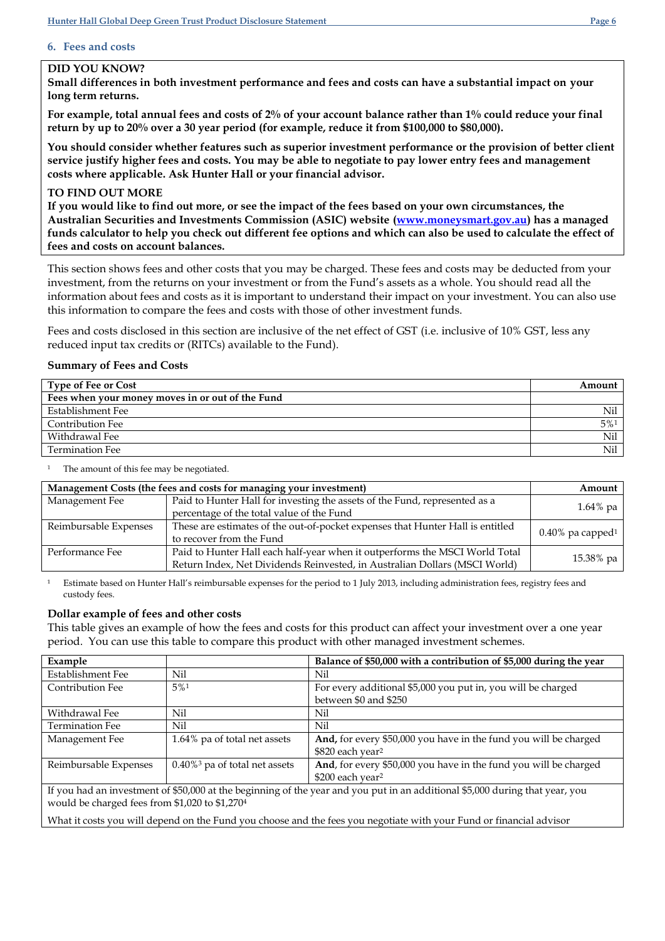# **6. Fees and costs**

# **DID YOU KNOW?**

**Small differences in both investment performance and fees and costs can have a substantial impact on your long term returns.**

**For example, total annual fees and costs of 2% of your account balance rather than 1% could reduce your final return by up to 20% over a 30 year period (for example, reduce it from \$100,000 to \$80,000).**

**You should consider whether features such as superior investment performance or the provision of better client service justify higher fees and costs. You may be able to negotiate to pay lower entry fees and management costs where applicable. Ask Hunter Hall or your financial advisor.**

## **TO FIND OUT MORE**

**If you would like to find out more, or see the impact of the fees based on your own circumstances, the Australian Securities and Investments Commission (ASIC) website [\(www.moneysmart.gov.au\)](http://www.moneysmart.gov.au/) has a managed funds calculator to help you check out different fee options and which can also be used to calculate the effect of fees and costs on account balances.**

This section shows fees and other costs that you may be charged. These fees and costs may be deducted from your investment, from the returns on your investment or from the Fund's assets as a whole. You should read all the information about fees and costs as it is important to understand their impact on your investment. You can also use this information to compare the fees and costs with those of other investment funds.

Fees and costs disclosed in this section are inclusive of the net effect of GST (i.e. inclusive of 10% GST, less any reduced input tax credits or (RITCs) available to the Fund).

### **Summary of Fees and Costs**

| <b>Type of Fee or Cost</b>                       | Amount |
|--------------------------------------------------|--------|
| Fees when your money moves in or out of the Fund |        |
| Establishment Fee                                | Nil    |
| Contribution Fee                                 | 5%1    |
| Withdrawal Fee                                   | Nil    |
| Termination Fee                                  | Nil    |

<sup>1</sup> The amount of this fee may be negotiated.

| Management Costs (the fees and costs for managing your investment) |                                                                                | Amount                          |
|--------------------------------------------------------------------|--------------------------------------------------------------------------------|---------------------------------|
| Management Fee                                                     | Paid to Hunter Hall for investing the assets of the Fund, represented as a     | $1.64\%$ pa                     |
|                                                                    | percentage of the total value of the Fund                                      |                                 |
| Reimbursable Expenses                                              | These are estimates of the out-of-pocket expenses that Hunter Hall is entitled | $0.40\%$ pa capped <sup>1</sup> |
|                                                                    | to recover from the Fund                                                       |                                 |
| Performance Fee                                                    | Paid to Hunter Hall each half-year when it outperforms the MSCI World Total    |                                 |
|                                                                    | Return Index, Net Dividends Reinvested, in Australian Dollars (MSCI World)     | 15.38% pa                       |

Estimate based on Hunter Hall's reimbursable expenses for the period to 1 July 2013, including administration fees, registry fees and custody fees.

## **Dollar example of fees and other costs**

This table gives an example of how the fees and costs for this product can affect your investment over a one year period. You can use this table to compare this product with other managed investment schemes.

| Example                                                                                                                      |                                              | Balance of \$50,000 with a contribution of \$5,000 during the year |
|------------------------------------------------------------------------------------------------------------------------------|----------------------------------------------|--------------------------------------------------------------------|
| Establishment Fee                                                                                                            | Nil                                          | Nil                                                                |
| <b>Contribution Fee</b>                                                                                                      | 5%1                                          | For every additional \$5,000 you put in, you will be charged       |
|                                                                                                                              |                                              | between \$0 and \$250                                              |
| Withdrawal Fee                                                                                                               | Nil                                          | Nil                                                                |
| <b>Termination Fee</b>                                                                                                       | Nil                                          | Nil                                                                |
| Management Fee                                                                                                               | 1.64% pa of total net assets                 | And, for every \$50,000 you have in the fund you will be charged   |
|                                                                                                                              |                                              | \$820 each year <sup>2</sup>                                       |
| Reimbursable Expenses                                                                                                        | $0.40\%$ <sup>3</sup> pa of total net assets | And, for every \$50,000 you have in the fund you will be charged   |
|                                                                                                                              |                                              | \$200 each year <sup>2</sup>                                       |
| If you had an investment of \$50,000 at the beginning of the year and you put in an additional \$5,000 during that year, you |                                              |                                                                    |
| would be charged fees from \$1,020 to \$1,2704                                                                               |                                              |                                                                    |

What it costs you will depend on the Fund you choose and the fees you negotiate with your Fund or financial advisor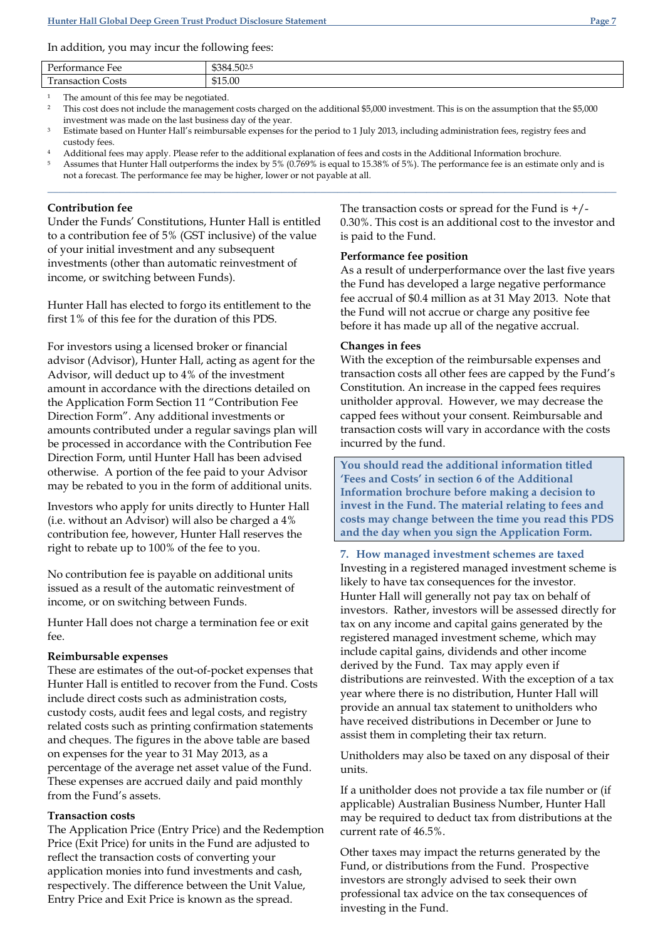In addition, you may incur the following fees:

| $\sim$<br>Performance Fee              | \$384.502,5 |
|----------------------------------------|-------------|
| <b>COL</b><br><b>Transaction Costs</b> | \$15.00     |
|                                        |             |

The amount of this fee may be negotiated.

<sup>2</sup> This cost does not include the management costs charged on the additional \$5,000 investment. This is on the assumption that the \$5,000 investment was made on the last business day of the year.

<sup>3</sup> Estimate based on Hunter Hall's reimbursable expenses for the period to 1 July 2013, including administration fees, registry fees and custody fees.

<sup>4</sup> Additional fees may apply. Please refer to the additional explanation of fees and costs in the Additional Information brochure. <sup>5</sup>Assumes that Hunter Hall outperforms the index by 5% (0.769% is equal to 15.38% of 5%). The performance fee is an estimate only and is not a forecast. The performance fee may be higher, lower or not payable at all.

**\_\_\_\_\_\_\_\_\_\_\_\_\_\_\_\_\_\_\_\_\_\_\_\_\_\_\_\_\_\_\_\_\_\_\_\_\_\_\_\_\_\_\_\_\_\_\_\_\_\_\_\_\_\_\_\_\_\_\_\_\_\_\_\_\_\_\_\_\_\_\_\_\_\_\_\_\_\_\_\_\_\_\_\_\_\_\_\_\_\_\_\_\_\_\_\_\_\_\_\_\_\_**

## **Contribution fee**

Under the Funds' Constitutions, Hunter Hall is entitled to a contribution fee of 5% (GST inclusive) of the value of your initial investment and any subsequent investments (other than automatic reinvestment of income, or switching between Funds).

Hunter Hall has elected to forgo its entitlement to the first 1% of this fee for the duration of this PDS.

For investors using a licensed broker or financial advisor (Advisor), Hunter Hall, acting as agent for the Advisor, will deduct up to 4% of the investment amount in accordance with the directions detailed on the Application Form Section 11 "Contribution Fee Direction Form". Any additional investments or amounts contributed under a regular savings plan will be processed in accordance with the Contribution Fee Direction Form, until Hunter Hall has been advised otherwise. A portion of the fee paid to your Advisor may be rebated to you in the form of additional units.

Investors who apply for units directly to Hunter Hall (i.e. without an Advisor) will also be charged a 4% contribution fee, however, Hunter Hall reserves the right to rebate up to 100% of the fee to you.

No contribution fee is payable on additional units issued as a result of the automatic reinvestment of income, or on switching between Funds.

Hunter Hall does not charge a termination fee or exit fee.

### **Reimbursable expenses**

These are estimates of the out-of-pocket expenses that Hunter Hall is entitled to recover from the Fund. Costs include direct costs such as administration costs, custody costs, audit fees and legal costs, and registry related costs such as printing confirmation statements and cheques. The figures in the above table are based on expenses for the year to 31 May 2013, as a percentage of the average net asset value of the Fund. These expenses are accrued daily and paid monthly from the Fund's assets.

## **Transaction costs**

The Application Price (Entry Price) and the Redemption Price (Exit Price) for units in the Fund are adjusted to reflect the transaction costs of converting your application monies into fund investments and cash, respectively. The difference between the Unit Value, Entry Price and Exit Price is known as the spread.

The transaction costs or spread for the Fund is  $+$ / $-$ 0.30%. This cost is an additional cost to the investor and is paid to the Fund.

### **Performance fee position**

As a result of underperformance over the last five years the Fund has developed a large negative performance fee accrual of \$0.4 million as at 31 May 2013. Note that the Fund will not accrue or charge any positive fee before it has made up all of the negative accrual.

### **Changes in fees**

With the exception of the reimbursable expenses and transaction costs all other fees are capped by the Fund's Constitution. An increase in the capped fees requires unitholder approval. However, we may decrease the capped fees without your consent. Reimbursable and transaction costs will vary in accordance with the costs incurred by the fund.

**You should read the additional information titled 'Fees and Costs' in section 6 of the Additional Information brochure before making a decision to invest in the Fund. The material relating to fees and costs may change between the time you read this PDS and the day when you sign the Application Form.**

**7. How managed investment schemes are taxed**  Investing in a registered managed investment scheme is likely to have tax consequences for the investor. Hunter Hall will generally not pay tax on behalf of investors. Rather, investors will be assessed directly for tax on any income and capital gains generated by the registered managed investment scheme, which may include capital gains, dividends and other income derived by the Fund. Tax may apply even if distributions are reinvested. With the exception of a tax year where there is no distribution, Hunter Hall will provide an annual tax statement to unitholders who have received distributions in December or June to assist them in completing their tax return.

Unitholders may also be taxed on any disposal of their units.

If a unitholder does not provide a tax file number or (if applicable) Australian Business Number, Hunter Hall may be required to deduct tax from distributions at the current rate of 46.5%.

Other taxes may impact the returns generated by the Fund, or distributions from the Fund. Prospective investors are strongly advised to seek their own professional tax advice on the tax consequences of investing in the Fund.